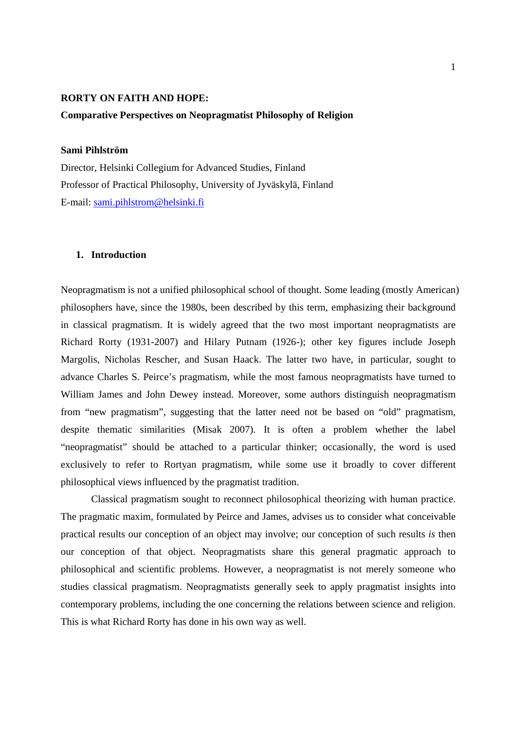### **RORTY ON FAITH AND HOPE:**

### **Comparative Perspectives on Neopragmatist Philosophy of Religion**

# **Sami Pihlström**

Director, Helsinki Collegium for Advanced Studies, Finland Professor of Practical Philosophy, University of Jyväskylä, Finland E-mail: sami.pihlstrom@helsinki.fi

#### **1. Introduction**

Neopragmatism is not a unified philosophical school of thought. Some leading (mostly American) philosophers have, since the 1980s, been described by this term, emphasizing their background in classical pragmatism. It is widely agreed that the two most important neopragmatists are Richard Rorty (1931-2007) and Hilary Putnam (1926-); other key figures include Joseph Margolis, Nicholas Rescher, and Susan Haack. The latter two have, in particular, sought to advance Charles S. Peirce's pragmatism, while the most famous neopragmatists have turned to William James and John Dewey instead. Moreover, some authors distinguish neopragmatism from "new pragmatism", suggesting that the latter need not be based on "old" pragmatism, despite thematic similarities (Misak 2007). It is often a problem whether the label "neopragmatist" should be attached to a particular thinker; occasionally, the word is used exclusively to refer to Rortyan pragmatism, while some use it broadly to cover different philosophical views influenced by the pragmatist tradition.

 Classical pragmatism sought to reconnect philosophical theorizing with human practice. The pragmatic maxim, formulated by Peirce and James, advises us to consider what conceivable practical results our conception of an object may involve; our conception of such results *is* then our conception of that object. Neopragmatists share this general pragmatic approach to philosophical and scientific problems. However, a neopragmatist is not merely someone who studies classical pragmatism. Neopragmatists generally seek to apply pragmatist insights into contemporary problems, including the one concerning the relations between science and religion. This is what Richard Rorty has done in his own way as well.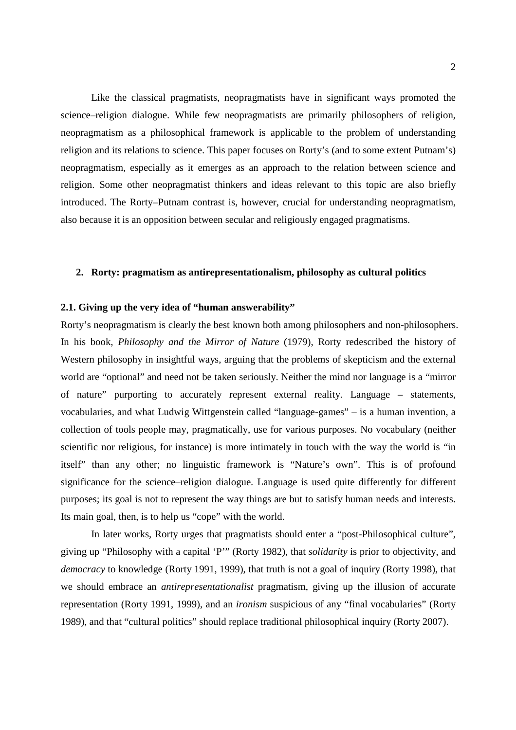Like the classical pragmatists, neopragmatists have in significant ways promoted the science–religion dialogue. While few neopragmatists are primarily philosophers of religion, neopragmatism as a philosophical framework is applicable to the problem of understanding religion and its relations to science. This paper focuses on Rorty's (and to some extent Putnam's) neopragmatism, especially as it emerges as an approach to the relation between science and religion. Some other neopragmatist thinkers and ideas relevant to this topic are also briefly introduced. The Rorty–Putnam contrast is, however, crucial for understanding neopragmatism, also because it is an opposition between secular and religiously engaged pragmatisms.

### **2. Rorty: pragmatism as antirepresentationalism, philosophy as cultural politics**

#### **2.1. Giving up the very idea of "human answerability"**

Rorty's neopragmatism is clearly the best known both among philosophers and non-philosophers. In his book, *Philosophy and the Mirror of Nature* (1979), Rorty redescribed the history of Western philosophy in insightful ways, arguing that the problems of skepticism and the external world are "optional" and need not be taken seriously. Neither the mind nor language is a "mirror of nature" purporting to accurately represent external reality. Language – statements, vocabularies, and what Ludwig Wittgenstein called "language-games" – is a human invention, a collection of tools people may, pragmatically, use for various purposes. No vocabulary (neither scientific nor religious, for instance) is more intimately in touch with the way the world is "in itself" than any other; no linguistic framework is "Nature's own". This is of profound significance for the science–religion dialogue. Language is used quite differently for different purposes; its goal is not to represent the way things are but to satisfy human needs and interests. Its main goal, then, is to help us "cope" with the world.

 In later works, Rorty urges that pragmatists should enter a "post-Philosophical culture", giving up "Philosophy with a capital 'P'" (Rorty 1982), that *solidarity* is prior to objectivity, and *democracy* to knowledge (Rorty 1991, 1999), that truth is not a goal of inquiry (Rorty 1998), that we should embrace an *antirepresentationalist* pragmatism, giving up the illusion of accurate representation (Rorty 1991, 1999), and an *ironism* suspicious of any "final vocabularies" (Rorty 1989), and that "cultural politics" should replace traditional philosophical inquiry (Rorty 2007).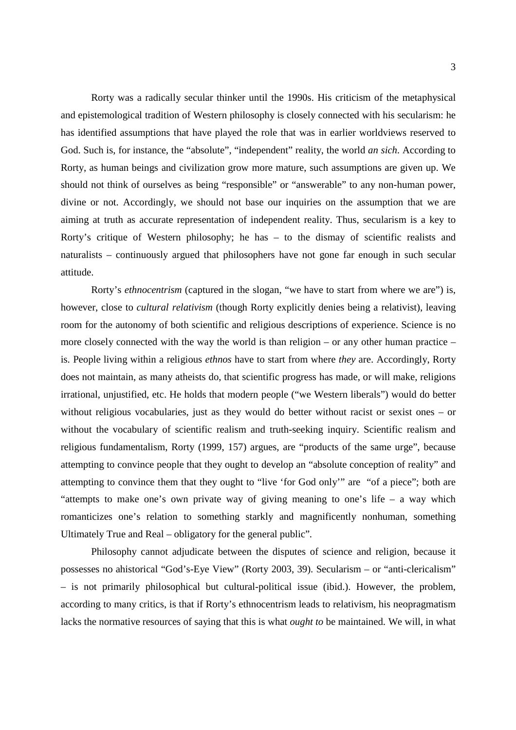Rorty was a radically secular thinker until the 1990s. His criticism of the metaphysical and epistemological tradition of Western philosophy is closely connected with his secularism: he has identified assumptions that have played the role that was in earlier worldviews reserved to God. Such is, for instance, the "absolute", "independent" reality, the world *an sich*. According to Rorty, as human beings and civilization grow more mature, such assumptions are given up. We should not think of ourselves as being "responsible" or "answerable" to any non-human power, divine or not. Accordingly, we should not base our inquiries on the assumption that we are aiming at truth as accurate representation of independent reality. Thus, secularism is a key to Rorty's critique of Western philosophy; he has – to the dismay of scientific realists and naturalists – continuously argued that philosophers have not gone far enough in such secular attitude.

Rorty's *ethnocentrism* (captured in the slogan, "we have to start from where we are") is, however, close to *cultural relativism* (though Rorty explicitly denies being a relativist), leaving room for the autonomy of both scientific and religious descriptions of experience. Science is no more closely connected with the way the world is than religion – or any other human practice – is. People living within a religious *ethnos* have to start from where *they* are. Accordingly, Rorty does not maintain, as many atheists do, that scientific progress has made, or will make, religions irrational, unjustified, etc. He holds that modern people ("we Western liberals") would do better without religious vocabularies, just as they would do better without racist or sexist ones – or without the vocabulary of scientific realism and truth-seeking inquiry. Scientific realism and religious fundamentalism, Rorty (1999, 157) argues, are "products of the same urge", because attempting to convince people that they ought to develop an "absolute conception of reality" and attempting to convince them that they ought to "live 'for God only'" are "of a piece"; both are "attempts to make one's own private way of giving meaning to one's life – a way which romanticizes one's relation to something starkly and magnificently nonhuman, something Ultimately True and Real – obligatory for the general public".

Philosophy cannot adjudicate between the disputes of science and religion, because it possesses no ahistorical "God's-Eye View" (Rorty 2003, 39). Secularism – or "anti-clericalism" – is not primarily philosophical but cultural-political issue (ibid.). However, the problem, according to many critics, is that if Rorty's ethnocentrism leads to relativism, his neopragmatism lacks the normative resources of saying that this is what *ought to* be maintained. We will, in what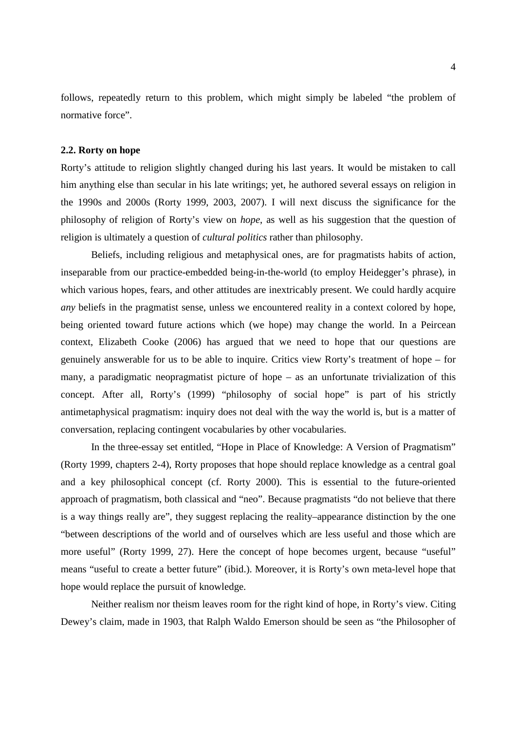follows, repeatedly return to this problem, which might simply be labeled "the problem of normative force".

### **2.2. Rorty on hope**

Rorty's attitude to religion slightly changed during his last years. It would be mistaken to call him anything else than secular in his late writings; yet, he authored several essays on religion in the 1990s and 2000s (Rorty 1999, 2003, 2007). I will next discuss the significance for the philosophy of religion of Rorty's view on *hope*, as well as his suggestion that the question of religion is ultimately a question of *cultural politics* rather than philosophy.

Beliefs, including religious and metaphysical ones, are for pragmatists habits of action, inseparable from our practice-embedded being-in-the-world (to employ Heidegger's phrase), in which various hopes, fears, and other attitudes are inextricably present. We could hardly acquire *any* beliefs in the pragmatist sense, unless we encountered reality in a context colored by hope, being oriented toward future actions which (we hope) may change the world. In a Peircean context, Elizabeth Cooke (2006) has argued that we need to hope that our questions are genuinely answerable for us to be able to inquire. Critics view Rorty's treatment of hope – for many, a paradigmatic neopragmatist picture of hope – as an unfortunate trivialization of this concept. After all, Rorty's (1999) "philosophy of social hope" is part of his strictly antimetaphysical pragmatism: inquiry does not deal with the way the world is, but is a matter of conversation, replacing contingent vocabularies by other vocabularies.

 In the three-essay set entitled, "Hope in Place of Knowledge: A Version of Pragmatism" (Rorty 1999, chapters 2-4), Rorty proposes that hope should replace knowledge as a central goal and a key philosophical concept (cf. Rorty 2000). This is essential to the future-oriented approach of pragmatism, both classical and "neo". Because pragmatists "do not believe that there is a way things really are", they suggest replacing the reality–appearance distinction by the one "between descriptions of the world and of ourselves which are less useful and those which are more useful" (Rorty 1999, 27). Here the concept of hope becomes urgent, because "useful" means "useful to create a better future" (ibid.). Moreover, it is Rorty's own meta-level hope that hope would replace the pursuit of knowledge.

 Neither realism nor theism leaves room for the right kind of hope, in Rorty's view. Citing Dewey's claim, made in 1903, that Ralph Waldo Emerson should be seen as "the Philosopher of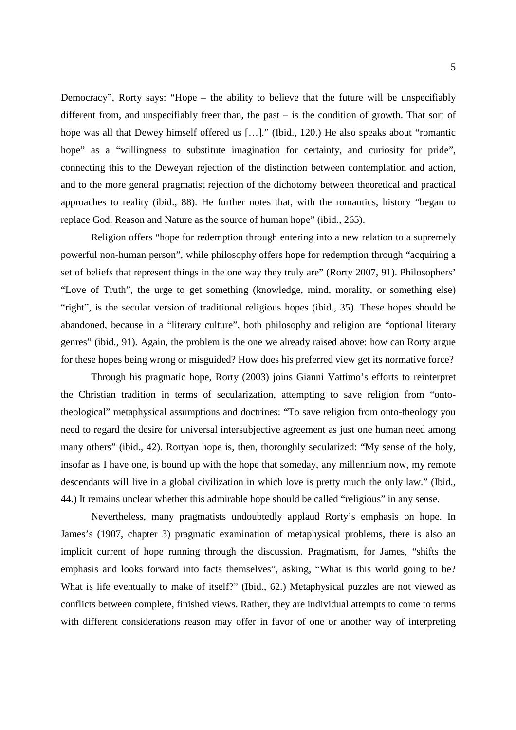Democracy", Rorty says: "Hope – the ability to believe that the future will be unspecifiably different from, and unspecifiably freer than, the past – is the condition of growth. That sort of hope was all that Dewey himself offered us [...]." (Ibid., 120.) He also speaks about "romantic hope" as a "willingness to substitute imagination for certainty, and curiosity for pride", connecting this to the Deweyan rejection of the distinction between contemplation and action, and to the more general pragmatist rejection of the dichotomy between theoretical and practical approaches to reality (ibid., 88). He further notes that, with the romantics, history "began to replace God, Reason and Nature as the source of human hope" (ibid., 265).

 Religion offers "hope for redemption through entering into a new relation to a supremely powerful non-human person", while philosophy offers hope for redemption through "acquiring a set of beliefs that represent things in the one way they truly are" (Rorty 2007, 91). Philosophers' "Love of Truth", the urge to get something (knowledge, mind, morality, or something else) "right", is the secular version of traditional religious hopes (ibid., 35). These hopes should be abandoned, because in a "literary culture", both philosophy and religion are "optional literary genres" (ibid., 91). Again, the problem is the one we already raised above: how can Rorty argue for these hopes being wrong or misguided? How does his preferred view get its normative force?

 Through his pragmatic hope, Rorty (2003) joins Gianni Vattimo's efforts to reinterpret the Christian tradition in terms of secularization, attempting to save religion from "ontotheological" metaphysical assumptions and doctrines: "To save religion from onto-theology you need to regard the desire for universal intersubjective agreement as just one human need among many others" (ibid., 42). Rortyan hope is, then, thoroughly secularized: "My sense of the holy, insofar as I have one, is bound up with the hope that someday, any millennium now, my remote descendants will live in a global civilization in which love is pretty much the only law." (Ibid., 44.) It remains unclear whether this admirable hope should be called "religious" in any sense.

 Nevertheless, many pragmatists undoubtedly applaud Rorty's emphasis on hope. In James's (1907, chapter 3) pragmatic examination of metaphysical problems, there is also an implicit current of hope running through the discussion. Pragmatism, for James, "shifts the emphasis and looks forward into facts themselves", asking, "What is this world going to be? What is life eventually to make of itself?" (Ibid., 62.) Metaphysical puzzles are not viewed as conflicts between complete, finished views. Rather, they are individual attempts to come to terms with different considerations reason may offer in favor of one or another way of interpreting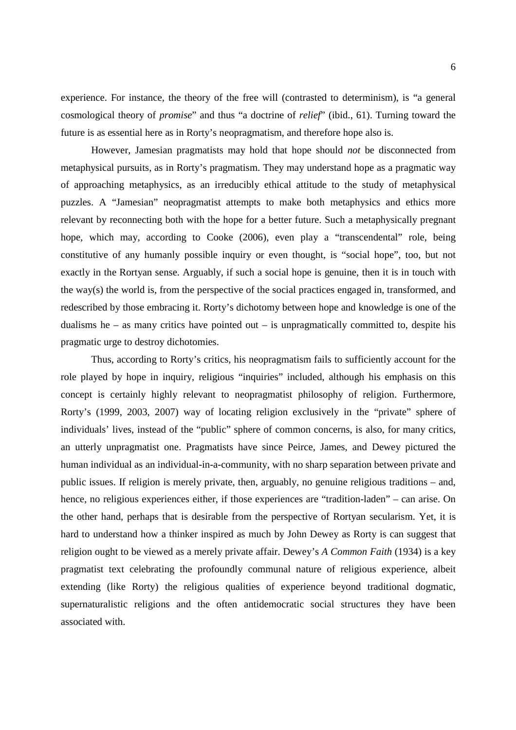experience. For instance, the theory of the free will (contrasted to determinism), is "a general cosmological theory of *promise*" and thus "a doctrine of *relief*" (ibid., 61). Turning toward the future is as essential here as in Rorty's neopragmatism, and therefore hope also is.

 However, Jamesian pragmatists may hold that hope should *not* be disconnected from metaphysical pursuits, as in Rorty's pragmatism. They may understand hope as a pragmatic way of approaching metaphysics, as an irreducibly ethical attitude to the study of metaphysical puzzles. A "Jamesian" neopragmatist attempts to make both metaphysics and ethics more relevant by reconnecting both with the hope for a better future. Such a metaphysically pregnant hope, which may, according to Cooke (2006), even play a "transcendental" role, being constitutive of any humanly possible inquiry or even thought, is "social hope", too, but not exactly in the Rortyan sense. Arguably, if such a social hope is genuine, then it is in touch with the way(s) the world is, from the perspective of the social practices engaged in, transformed, and redescribed by those embracing it. Rorty's dichotomy between hope and knowledge is one of the dualisms he – as many critics have pointed out – is unpragmatically committed to, despite his pragmatic urge to destroy dichotomies.

 Thus, according to Rorty's critics, his neopragmatism fails to sufficiently account for the role played by hope in inquiry, religious "inquiries" included, although his emphasis on this concept is certainly highly relevant to neopragmatist philosophy of religion. Furthermore, Rorty's (1999, 2003, 2007) way of locating religion exclusively in the "private" sphere of individuals' lives, instead of the "public" sphere of common concerns, is also, for many critics, an utterly unpragmatist one. Pragmatists have since Peirce, James, and Dewey pictured the human individual as an individual-in-a-community, with no sharp separation between private and public issues. If religion is merely private, then, arguably, no genuine religious traditions – and, hence, no religious experiences either, if those experiences are "tradition-laden" – can arise. On the other hand, perhaps that is desirable from the perspective of Rortyan secularism. Yet, it is hard to understand how a thinker inspired as much by John Dewey as Rorty is can suggest that religion ought to be viewed as a merely private affair. Dewey's *A Common Faith* (1934) is a key pragmatist text celebrating the profoundly communal nature of religious experience, albeit extending (like Rorty) the religious qualities of experience beyond traditional dogmatic, supernaturalistic religions and the often antidemocratic social structures they have been associated with.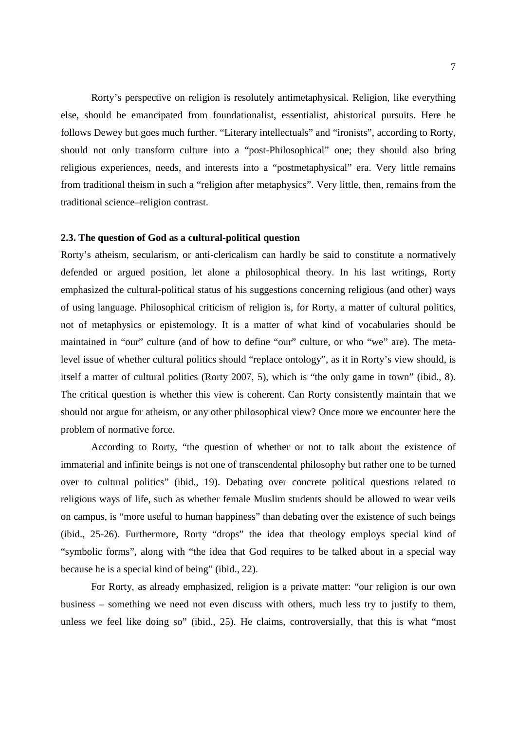Rorty's perspective on religion is resolutely antimetaphysical. Religion, like everything else, should be emancipated from foundationalist, essentialist, ahistorical pursuits. Here he follows Dewey but goes much further. "Literary intellectuals" and "ironists", according to Rorty, should not only transform culture into a "post-Philosophical" one; they should also bring religious experiences, needs, and interests into a "postmetaphysical" era. Very little remains from traditional theism in such a "religion after metaphysics". Very little, then, remains from the traditional science–religion contrast.

### **2.3. The question of God as a cultural-political question**

Rorty's atheism, secularism, or anti-clericalism can hardly be said to constitute a normatively defended or argued position, let alone a philosophical theory. In his last writings, Rorty emphasized the cultural-political status of his suggestions concerning religious (and other) ways of using language. Philosophical criticism of religion is, for Rorty, a matter of cultural politics, not of metaphysics or epistemology. It is a matter of what kind of vocabularies should be maintained in "our" culture (and of how to define "our" culture, or who "we" are). The metalevel issue of whether cultural politics should "replace ontology", as it in Rorty's view should, is itself a matter of cultural politics (Rorty 2007, 5), which is "the only game in town" (ibid., 8). The critical question is whether this view is coherent. Can Rorty consistently maintain that we should not argue for atheism, or any other philosophical view? Once more we encounter here the problem of normative force.

 According to Rorty, "the question of whether or not to talk about the existence of immaterial and infinite beings is not one of transcendental philosophy but rather one to be turned over to cultural politics" (ibid., 19). Debating over concrete political questions related to religious ways of life, such as whether female Muslim students should be allowed to wear veils on campus, is "more useful to human happiness" than debating over the existence of such beings (ibid., 25-26). Furthermore, Rorty "drops" the idea that theology employs special kind of "symbolic forms", along with "the idea that God requires to be talked about in a special way because he is a special kind of being" (ibid., 22).

 For Rorty, as already emphasized, religion is a private matter: "our religion is our own business – something we need not even discuss with others, much less try to justify to them, unless we feel like doing so" (ibid., 25). He claims, controversially, that this is what "most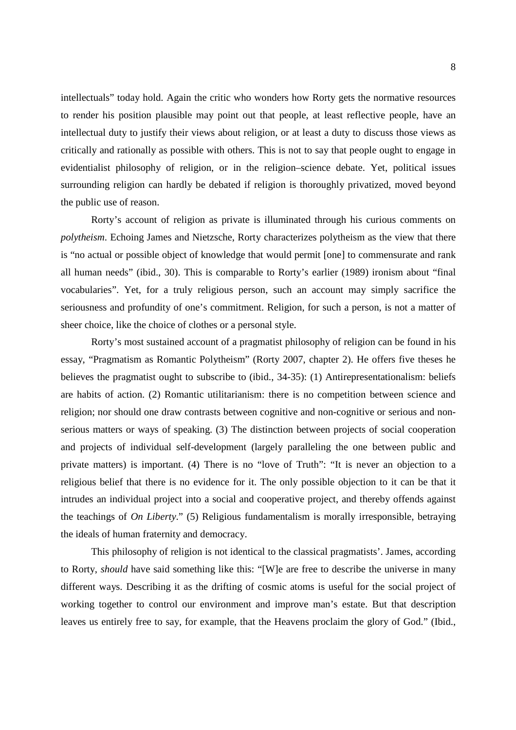intellectuals" today hold. Again the critic who wonders how Rorty gets the normative resources to render his position plausible may point out that people, at least reflective people, have an intellectual duty to justify their views about religion, or at least a duty to discuss those views as critically and rationally as possible with others. This is not to say that people ought to engage in evidentialist philosophy of religion, or in the religion–science debate. Yet, political issues surrounding religion can hardly be debated if religion is thoroughly privatized, moved beyond the public use of reason.

 Rorty's account of religion as private is illuminated through his curious comments on *polytheism*. Echoing James and Nietzsche, Rorty characterizes polytheism as the view that there is "no actual or possible object of knowledge that would permit [one] to commensurate and rank all human needs" (ibid., 30). This is comparable to Rorty's earlier (1989) ironism about "final vocabularies". Yet, for a truly religious person, such an account may simply sacrifice the seriousness and profundity of one's commitment. Religion, for such a person, is not a matter of sheer choice, like the choice of clothes or a personal style.

 Rorty's most sustained account of a pragmatist philosophy of religion can be found in his essay, "Pragmatism as Romantic Polytheism" (Rorty 2007, chapter 2). He offers five theses he believes the pragmatist ought to subscribe to (ibid., 34-35): (1) Antirepresentationalism: beliefs are habits of action. (2) Romantic utilitarianism: there is no competition between science and religion; nor should one draw contrasts between cognitive and non-cognitive or serious and nonserious matters or ways of speaking. (3) The distinction between projects of social cooperation and projects of individual self-development (largely paralleling the one between public and private matters) is important. (4) There is no "love of Truth": "It is never an objection to a religious belief that there is no evidence for it. The only possible objection to it can be that it intrudes an individual project into a social and cooperative project, and thereby offends against the teachings of *On Liberty*." (5) Religious fundamentalism is morally irresponsible, betraying the ideals of human fraternity and democracy.

 This philosophy of religion is not identical to the classical pragmatists'. James, according to Rorty, *should* have said something like this: "[W]e are free to describe the universe in many different ways. Describing it as the drifting of cosmic atoms is useful for the social project of working together to control our environment and improve man's estate. But that description leaves us entirely free to say, for example, that the Heavens proclaim the glory of God." (Ibid.,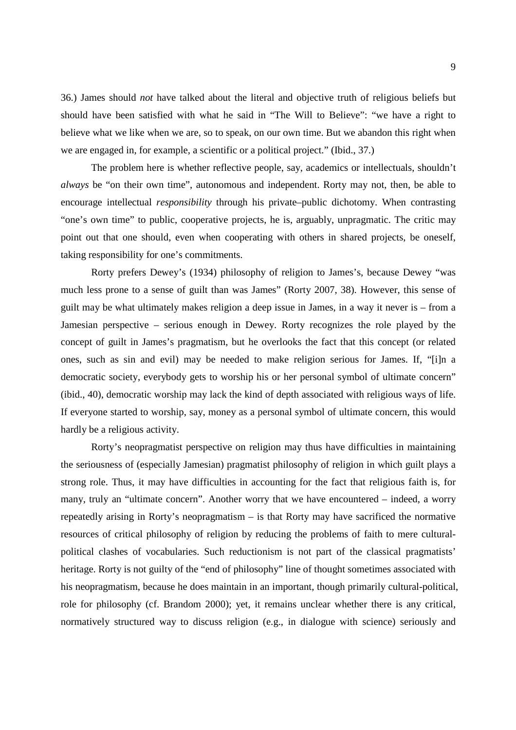36.) James should *not* have talked about the literal and objective truth of religious beliefs but should have been satisfied with what he said in "The Will to Believe": "we have a right to believe what we like when we are, so to speak, on our own time. But we abandon this right when we are engaged in, for example, a scientific or a political project." (Ibid., 37.)

 The problem here is whether reflective people, say, academics or intellectuals, shouldn't *always* be "on their own time", autonomous and independent. Rorty may not, then, be able to encourage intellectual *responsibility* through his private–public dichotomy. When contrasting "one's own time" to public, cooperative projects, he is, arguably, unpragmatic. The critic may point out that one should, even when cooperating with others in shared projects, be oneself, taking responsibility for one's commitments.

 Rorty prefers Dewey's (1934) philosophy of religion to James's, because Dewey "was much less prone to a sense of guilt than was James" (Rorty 2007, 38). However, this sense of guilt may be what ultimately makes religion a deep issue in James, in a way it never is – from a Jamesian perspective – serious enough in Dewey. Rorty recognizes the role played by the concept of guilt in James's pragmatism, but he overlooks the fact that this concept (or related ones, such as sin and evil) may be needed to make religion serious for James. If, "[i]n a democratic society, everybody gets to worship his or her personal symbol of ultimate concern" (ibid., 40), democratic worship may lack the kind of depth associated with religious ways of life. If everyone started to worship, say, money as a personal symbol of ultimate concern, this would hardly be a religious activity.

 Rorty's neopragmatist perspective on religion may thus have difficulties in maintaining the seriousness of (especially Jamesian) pragmatist philosophy of religion in which guilt plays a strong role. Thus, it may have difficulties in accounting for the fact that religious faith is, for many, truly an "ultimate concern". Another worry that we have encountered – indeed, a worry repeatedly arising in Rorty's neopragmatism – is that Rorty may have sacrificed the normative resources of critical philosophy of religion by reducing the problems of faith to mere culturalpolitical clashes of vocabularies. Such reductionism is not part of the classical pragmatists' heritage. Rorty is not guilty of the "end of philosophy" line of thought sometimes associated with his neopragmatism, because he does maintain in an important, though primarily cultural-political, role for philosophy (cf. Brandom 2000); yet, it remains unclear whether there is any critical, normatively structured way to discuss religion (e.g., in dialogue with science) seriously and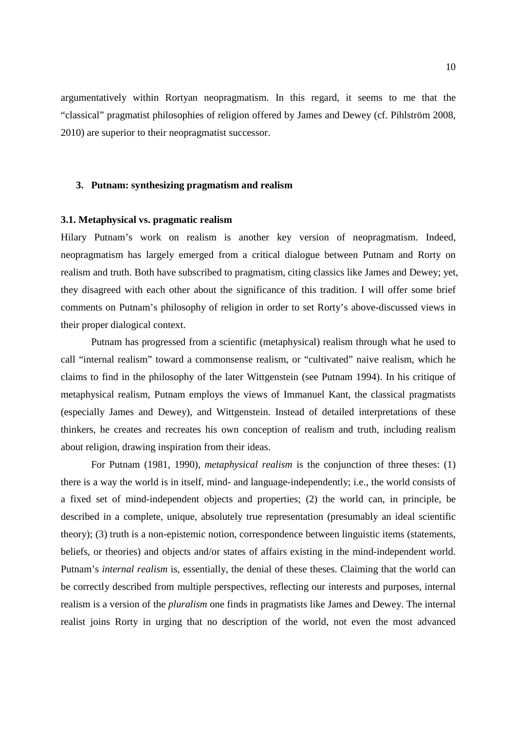argumentatively within Rortyan neopragmatism. In this regard, it seems to me that the "classical" pragmatist philosophies of religion offered by James and Dewey (cf. Pihlström 2008, 2010) are superior to their neopragmatist successor.

### **3. Putnam: synthesizing pragmatism and realism**

### **3.1. Metaphysical vs. pragmatic realism**

Hilary Putnam's work on realism is another key version of neopragmatism. Indeed, neopragmatism has largely emerged from a critical dialogue between Putnam and Rorty on realism and truth. Both have subscribed to pragmatism, citing classics like James and Dewey; yet, they disagreed with each other about the significance of this tradition. I will offer some brief comments on Putnam's philosophy of religion in order to set Rorty's above-discussed views in their proper dialogical context.

Putnam has progressed from a scientific (metaphysical) realism through what he used to call "internal realism" toward a commonsense realism, or "cultivated" naive realism, which he claims to find in the philosophy of the later Wittgenstein (see Putnam 1994). In his critique of metaphysical realism, Putnam employs the views of Immanuel Kant, the classical pragmatists (especially James and Dewey), and Wittgenstein. Instead of detailed interpretations of these thinkers, he creates and recreates his own conception of realism and truth, including realism about religion, drawing inspiration from their ideas.

For Putnam (1981, 1990), *metaphysical realism* is the conjunction of three theses: (1) there is a way the world is in itself, mind- and language-independently; i.e., the world consists of a fixed set of mind-independent objects and properties; (2) the world can, in principle, be described in a complete, unique, absolutely true representation (presumably an ideal scientific theory); (3) truth is a non-epistemic notion, correspondence between linguistic items (statements, beliefs, or theories) and objects and/or states of affairs existing in the mind-independent world. Putnam's *internal realism* is, essentially, the denial of these theses. Claiming that the world can be correctly described from multiple perspectives, reflecting our interests and purposes, internal realism is a version of the *pluralism* one finds in pragmatists like James and Dewey. The internal realist joins Rorty in urging that no description of the world, not even the most advanced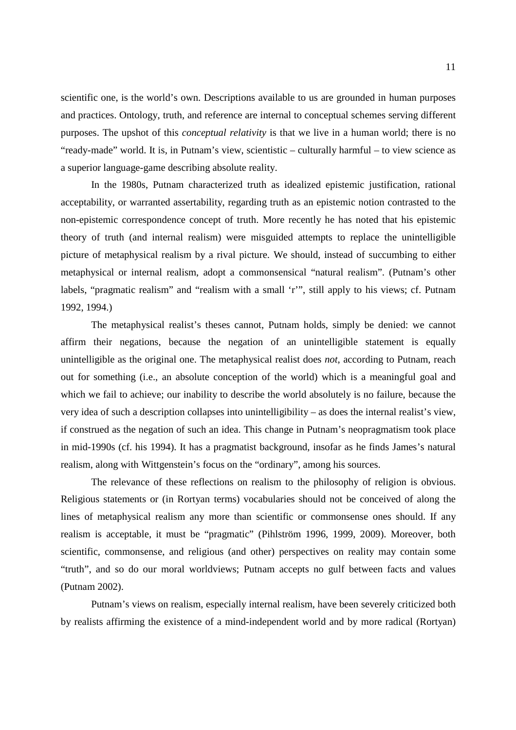scientific one, is the world's own. Descriptions available to us are grounded in human purposes and practices. Ontology, truth, and reference are internal to conceptual schemes serving different purposes. The upshot of this *conceptual relativity* is that we live in a human world; there is no "ready-made" world. It is, in Putnam's view, scientistic – culturally harmful – to view science as a superior language-game describing absolute reality.

In the 1980s, Putnam characterized truth as idealized epistemic justification, rational acceptability, or warranted assertability, regarding truth as an epistemic notion contrasted to the non-epistemic correspondence concept of truth. More recently he has noted that his epistemic theory of truth (and internal realism) were misguided attempts to replace the unintelligible picture of metaphysical realism by a rival picture. We should, instead of succumbing to either metaphysical or internal realism, adopt a commonsensical "natural realism". (Putnam's other labels, "pragmatic realism" and "realism with a small 'r'", still apply to his views; cf. Putnam 1992, 1994.)

The metaphysical realist's theses cannot, Putnam holds, simply be denied: we cannot affirm their negations, because the negation of an unintelligible statement is equally unintelligible as the original one. The metaphysical realist does *not*, according to Putnam, reach out for something (i.e., an absolute conception of the world) which is a meaningful goal and which we fail to achieve; our inability to describe the world absolutely is no failure, because the very idea of such a description collapses into unintelligibility – as does the internal realist's view, if construed as the negation of such an idea. This change in Putnam's neopragmatism took place in mid-1990s (cf. his 1994). It has a pragmatist background, insofar as he finds James's natural realism, along with Wittgenstein's focus on the "ordinary", among his sources.

The relevance of these reflections on realism to the philosophy of religion is obvious. Religious statements or (in Rortyan terms) vocabularies should not be conceived of along the lines of metaphysical realism any more than scientific or commonsense ones should. If any realism is acceptable, it must be "pragmatic" (Pihlström 1996, 1999, 2009). Moreover, both scientific, commonsense, and religious (and other) perspectives on reality may contain some "truth", and so do our moral worldviews; Putnam accepts no gulf between facts and values (Putnam 2002).

Putnam's views on realism, especially internal realism, have been severely criticized both by realists affirming the existence of a mind-independent world and by more radical (Rortyan)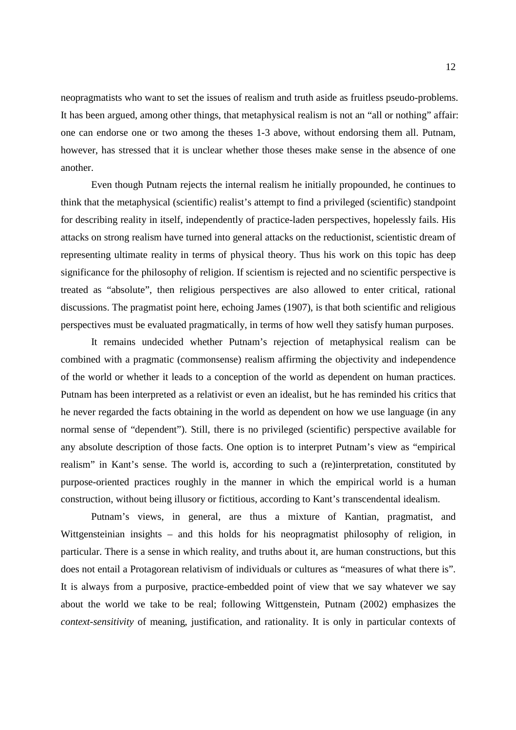neopragmatists who want to set the issues of realism and truth aside as fruitless pseudo-problems. It has been argued, among other things, that metaphysical realism is not an "all or nothing" affair: one can endorse one or two among the theses 1-3 above, without endorsing them all. Putnam, however, has stressed that it is unclear whether those theses make sense in the absence of one another.

Even though Putnam rejects the internal realism he initially propounded, he continues to think that the metaphysical (scientific) realist's attempt to find a privileged (scientific) standpoint for describing reality in itself, independently of practice-laden perspectives, hopelessly fails. His attacks on strong realism have turned into general attacks on the reductionist, scientistic dream of representing ultimate reality in terms of physical theory. Thus his work on this topic has deep significance for the philosophy of religion. If scientism is rejected and no scientific perspective is treated as "absolute", then religious perspectives are also allowed to enter critical, rational discussions. The pragmatist point here, echoing James (1907), is that both scientific and religious perspectives must be evaluated pragmatically, in terms of how well they satisfy human purposes.

It remains undecided whether Putnam's rejection of metaphysical realism can be combined with a pragmatic (commonsense) realism affirming the objectivity and independence of the world or whether it leads to a conception of the world as dependent on human practices. Putnam has been interpreted as a relativist or even an idealist, but he has reminded his critics that he never regarded the facts obtaining in the world as dependent on how we use language (in any normal sense of "dependent"). Still, there is no privileged (scientific) perspective available for any absolute description of those facts. One option is to interpret Putnam's view as "empirical realism" in Kant's sense. The world is, according to such a (re)interpretation, constituted by purpose-oriented practices roughly in the manner in which the empirical world is a human construction, without being illusory or fictitious, according to Kant's transcendental idealism.

Putnam's views, in general, are thus a mixture of Kantian, pragmatist, and Wittgensteinian insights – and this holds for his neopragmatist philosophy of religion, in particular. There is a sense in which reality, and truths about it, are human constructions, but this does not entail a Protagorean relativism of individuals or cultures as "measures of what there is". It is always from a purposive, practice-embedded point of view that we say whatever we say about the world we take to be real; following Wittgenstein, Putnam (2002) emphasizes the *context-sensitivity* of meaning, justification, and rationality. It is only in particular contexts of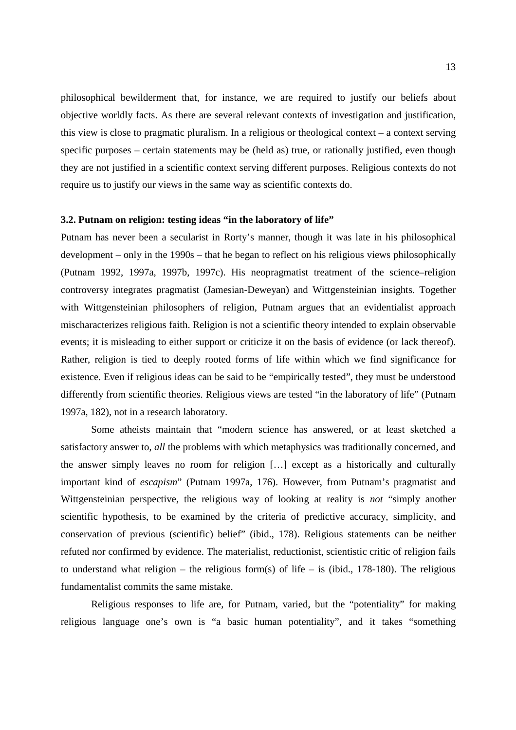philosophical bewilderment that, for instance, we are required to justify our beliefs about objective worldly facts. As there are several relevant contexts of investigation and justification, this view is close to pragmatic pluralism. In a religious or theological context – a context serving specific purposes – certain statements may be (held as) true, or rationally justified, even though they are not justified in a scientific context serving different purposes. Religious contexts do not require us to justify our views in the same way as scientific contexts do.

#### **3.2. Putnam on religion: testing ideas "in the laboratory of life"**

Putnam has never been a secularist in Rorty's manner, though it was late in his philosophical development – only in the 1990s – that he began to reflect on his religious views philosophically (Putnam 1992, 1997a, 1997b, 1997c). His neopragmatist treatment of the science–religion controversy integrates pragmatist (Jamesian-Deweyan) and Wittgensteinian insights. Together with Wittgensteinian philosophers of religion, Putnam argues that an evidentialist approach mischaracterizes religious faith. Religion is not a scientific theory intended to explain observable events; it is misleading to either support or criticize it on the basis of evidence (or lack thereof). Rather, religion is tied to deeply rooted forms of life within which we find significance for existence. Even if religious ideas can be said to be "empirically tested", they must be understood differently from scientific theories. Religious views are tested "in the laboratory of life" (Putnam 1997a, 182), not in a research laboratory.

 Some atheists maintain that "modern science has answered, or at least sketched a satisfactory answer to, *all* the problems with which metaphysics was traditionally concerned, and the answer simply leaves no room for religion […] except as a historically and culturally important kind of *escapism*" (Putnam 1997a, 176). However, from Putnam's pragmatist and Wittgensteinian perspective, the religious way of looking at reality is *not* "simply another scientific hypothesis, to be examined by the criteria of predictive accuracy, simplicity, and conservation of previous (scientific) belief" (ibid., 178). Religious statements can be neither refuted nor confirmed by evidence. The materialist, reductionist, scientistic critic of religion fails to understand what religion – the religious form(s) of life – is (ibid., 178-180). The religious fundamentalist commits the same mistake.

 Religious responses to life are, for Putnam, varied, but the "potentiality" for making religious language one's own is "a basic human potentiality", and it takes "something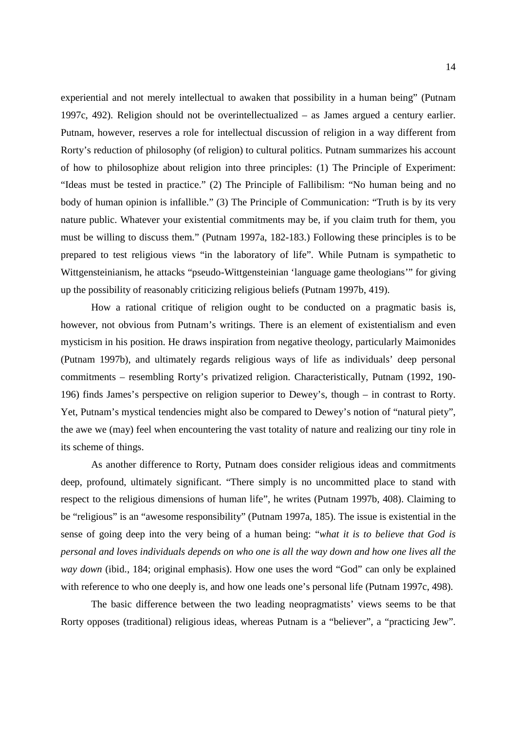experiential and not merely intellectual to awaken that possibility in a human being" (Putnam 1997c, 492). Religion should not be overintellectualized – as James argued a century earlier. Putnam, however, reserves a role for intellectual discussion of religion in a way different from Rorty's reduction of philosophy (of religion) to cultural politics. Putnam summarizes his account of how to philosophize about religion into three principles: (1) The Principle of Experiment: "Ideas must be tested in practice." (2) The Principle of Fallibilism: "No human being and no body of human opinion is infallible." (3) The Principle of Communication: "Truth is by its very nature public. Whatever your existential commitments may be, if you claim truth for them, you must be willing to discuss them." (Putnam 1997a, 182-183.) Following these principles is to be prepared to test religious views "in the laboratory of life". While Putnam is sympathetic to Wittgensteinianism, he attacks "pseudo-Wittgensteinian 'language game theologians'" for giving up the possibility of reasonably criticizing religious beliefs (Putnam 1997b, 419).

 How a rational critique of religion ought to be conducted on a pragmatic basis is, however, not obvious from Putnam's writings. There is an element of existentialism and even mysticism in his position. He draws inspiration from negative theology, particularly Maimonides (Putnam 1997b), and ultimately regards religious ways of life as individuals' deep personal commitments – resembling Rorty's privatized religion. Characteristically, Putnam (1992, 190- 196) finds James's perspective on religion superior to Dewey's, though – in contrast to Rorty. Yet, Putnam's mystical tendencies might also be compared to Dewey's notion of "natural piety", the awe we (may) feel when encountering the vast totality of nature and realizing our tiny role in its scheme of things.

 As another difference to Rorty, Putnam does consider religious ideas and commitments deep, profound, ultimately significant. "There simply is no uncommitted place to stand with respect to the religious dimensions of human life", he writes (Putnam 1997b, 408). Claiming to be "religious" is an "awesome responsibility" (Putnam 1997a, 185). The issue is existential in the sense of going deep into the very being of a human being: "*what it is to believe that God is personal and loves individuals depends on who one is all the way down and how one lives all the way down* (ibid., 184; original emphasis). How one uses the word "God" can only be explained with reference to who one deeply is, and how one leads one's personal life (Putnam 1997c, 498).

 The basic difference between the two leading neopragmatists' views seems to be that Rorty opposes (traditional) religious ideas, whereas Putnam is a "believer", a "practicing Jew".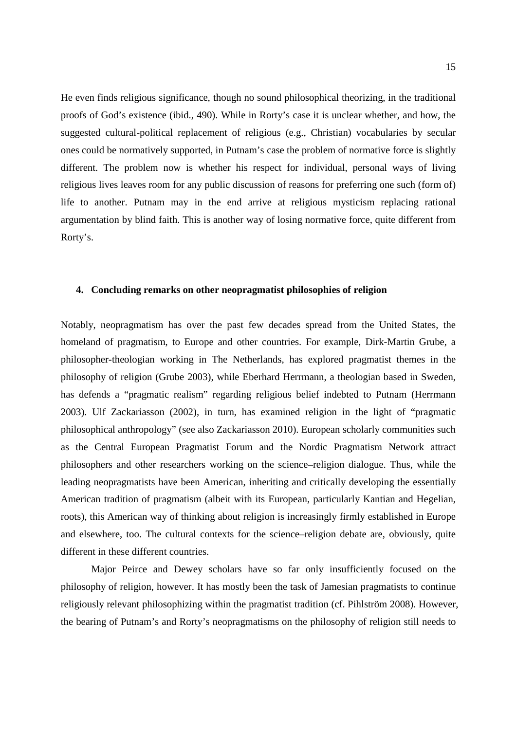He even finds religious significance, though no sound philosophical theorizing, in the traditional proofs of God's existence (ibid., 490). While in Rorty's case it is unclear whether, and how, the suggested cultural-political replacement of religious (e.g., Christian) vocabularies by secular ones could be normatively supported, in Putnam's case the problem of normative force is slightly different. The problem now is whether his respect for individual, personal ways of living religious lives leaves room for any public discussion of reasons for preferring one such (form of) life to another. Putnam may in the end arrive at religious mysticism replacing rational argumentation by blind faith. This is another way of losing normative force, quite different from Rorty's.

### **4. Concluding remarks on other neopragmatist philosophies of religion**

Notably, neopragmatism has over the past few decades spread from the United States, the homeland of pragmatism, to Europe and other countries. For example, Dirk-Martin Grube, a philosopher-theologian working in The Netherlands, has explored pragmatist themes in the philosophy of religion (Grube 2003), while Eberhard Herrmann, a theologian based in Sweden, has defends a "pragmatic realism" regarding religious belief indebted to Putnam (Herrmann 2003). Ulf Zackariasson (2002), in turn, has examined religion in the light of "pragmatic philosophical anthropology" (see also Zackariasson 2010). European scholarly communities such as the Central European Pragmatist Forum and the Nordic Pragmatism Network attract philosophers and other researchers working on the science–religion dialogue. Thus, while the leading neopragmatists have been American, inheriting and critically developing the essentially American tradition of pragmatism (albeit with its European, particularly Kantian and Hegelian, roots), this American way of thinking about religion is increasingly firmly established in Europe and elsewhere, too. The cultural contexts for the science–religion debate are, obviously, quite different in these different countries.

 Major Peirce and Dewey scholars have so far only insufficiently focused on the philosophy of religion, however. It has mostly been the task of Jamesian pragmatists to continue religiously relevant philosophizing within the pragmatist tradition (cf. Pihlström 2008). However, the bearing of Putnam's and Rorty's neopragmatisms on the philosophy of religion still needs to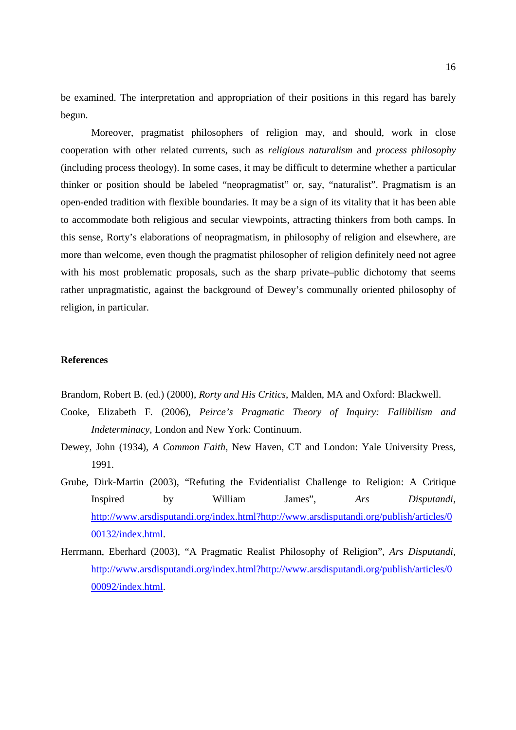be examined. The interpretation and appropriation of their positions in this regard has barely begun.

 Moreover, pragmatist philosophers of religion may, and should, work in close cooperation with other related currents, such as *religious naturalism* and *process philosophy* (including process theology). In some cases, it may be difficult to determine whether a particular thinker or position should be labeled "neopragmatist" or, say, "naturalist". Pragmatism is an open-ended tradition with flexible boundaries. It may be a sign of its vitality that it has been able to accommodate both religious and secular viewpoints, attracting thinkers from both camps. In this sense, Rorty's elaborations of neopragmatism, in philosophy of religion and elsewhere, are more than welcome, even though the pragmatist philosopher of religion definitely need not agree with his most problematic proposals, such as the sharp private–public dichotomy that seems rather unpragmatistic, against the background of Dewey's communally oriented philosophy of religion, in particular.

## **References**

Brandom, Robert B. (ed.) (2000), *Rorty and His Critics*, Malden, MA and Oxford: Blackwell.

- Cooke, Elizabeth F. (2006), *Peirce's Pragmatic Theory of Inquiry: Fallibilism and Indeterminacy*, London and New York: Continuum.
- Dewey, John (1934), *A Common Faith*, New Haven, CT and London: Yale University Press, 1991.
- Grube, Dirk-Martin (2003), "Refuting the Evidentialist Challenge to Religion: A Critique Inspired by William James", *Ars Disputandi*, http://www.arsdisputandi.org/index.html?http://www.arsdisputandi.org/publish/articles/0 00132/index.html.
- Herrmann, Eberhard (2003), "A Pragmatic Realist Philosophy of Religion", *Ars Disputandi,* http://www.arsdisputandi.org/index.html?http://www.arsdisputandi.org/publish/articles/0 00092/index.html.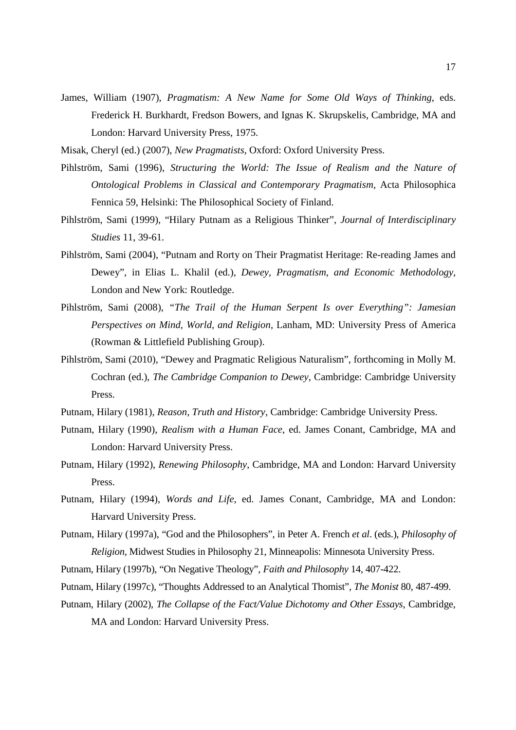- James, William (1907), *Pragmatism: A New Name for Some Old Ways of Thinking*, eds. Frederick H. Burkhardt, Fredson Bowers, and Ignas K. Skrupskelis, Cambridge, MA and London: Harvard University Press, 1975.
- Misak, Cheryl (ed.) (2007), *New Pragmatists*, Oxford: Oxford University Press.
- Pihlström, Sami (1996), *Structuring the World: The Issue of Realism and the Nature of Ontological Problems in Classical and Contemporary Pragmatism*, Acta Philosophica Fennica 59, Helsinki: The Philosophical Society of Finland.
- Pihlström, Sami (1999), "Hilary Putnam as a Religious Thinker", *Journal of Interdisciplinary Studies* 11, 39-61.
- Pihlström, Sami (2004), "Putnam and Rorty on Their Pragmatist Heritage: Re-reading James and Dewey", in Elias L. Khalil (ed.), *Dewey, Pragmatism, and Economic Methodology*, London and New York: Routledge.
- Pihlström, Sami (2008), *"The Trail of the Human Serpent Is over Everything": Jamesian Perspectives on Mind, World, and Religion*, Lanham, MD: University Press of America (Rowman & Littlefield Publishing Group).
- Pihlström, Sami (2010), "Dewey and Pragmatic Religious Naturalism", forthcoming in Molly M. Cochran (ed.), *The Cambridge Companion to Dewey*, Cambridge: Cambridge University Press.
- Putnam, Hilary (1981), *Reason, Truth and History*, Cambridge: Cambridge University Press.
- Putnam, Hilary (1990), *Realism with a Human Face*, ed. James Conant, Cambridge, MA and London: Harvard University Press.
- Putnam, Hilary (1992), *Renewing Philosophy*, Cambridge, MA and London: Harvard University Press.
- Putnam, Hilary (1994), *Words and Life*, ed. James Conant, Cambridge, MA and London: Harvard University Press.
- Putnam, Hilary (1997a), "God and the Philosophers", in Peter A. French *et al*. (eds.), *Philosophy of Religion*, Midwest Studies in Philosophy 21, Minneapolis: Minnesota University Press.
- Putnam, Hilary (1997b), "On Negative Theology", *Faith and Philosophy* 14, 407-422.
- Putnam, Hilary (1997c), "Thoughts Addressed to an Analytical Thomist", *The Monist* 80, 487-499.
- Putnam, Hilary (2002), *The Collapse of the Fact/Value Dichotomy and Other Essays*, Cambridge, MA and London: Harvard University Press.